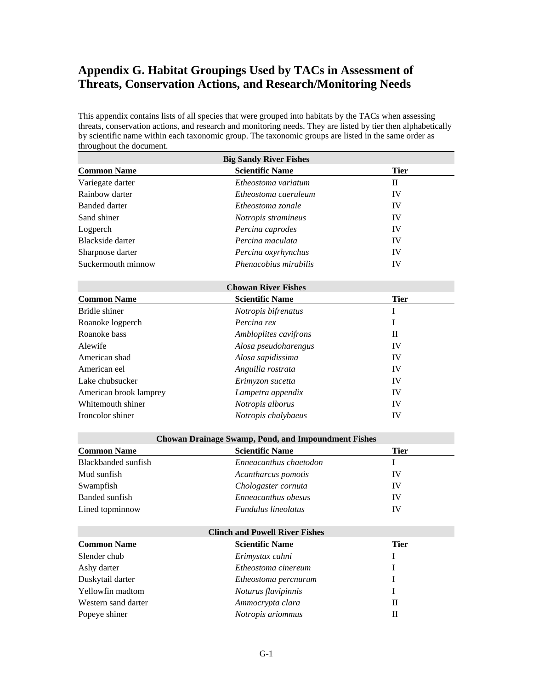# **Appendix G. Habitat Groupings Used by TACs in Assessment of Threats, Conservation Actions, and Research/Monitoring Needs**

This appendix contains lists of all species that were grouped into habitats by the TACs when assessing threats, conservation actions, and research and monitoring needs. They are listed by tier then alphabetically by scientific name within each taxonomic group. The taxonomic groups are listed in the same order as throughout the document.

| <b>Big Sandy River Fishes</b> |                                                            |              |  |
|-------------------------------|------------------------------------------------------------|--------------|--|
| <b>Common Name</b>            | <b>Scientific Name</b>                                     | <b>Tier</b>  |  |
| Variegate darter              | Etheostoma variatum                                        | $\mathbf{I}$ |  |
| Rainbow darter                | Etheostoma caeruleum                                       | IV           |  |
| <b>Banded darter</b>          | Etheostoma zonale                                          | IV           |  |
| Sand shiner                   | Notropis stramineus                                        | IV           |  |
| Logperch                      | Percina caprodes                                           | IV           |  |
| <b>Blackside darter</b>       | Percina maculata                                           | IV           |  |
| Sharpnose darter              | Percina oxyrhynchus                                        | IV           |  |
| Suckermouth minnow            | Phenacobius mirabilis                                      | IV           |  |
|                               | <b>Chowan River Fishes</b>                                 |              |  |
| <b>Common Name</b>            | <b>Scientific Name</b>                                     | <b>Tier</b>  |  |
| Bridle shiner                 | Notropis bifrenatus                                        | I            |  |
| Roanoke logperch              | Percina rex                                                | I            |  |
| Roanoke bass                  | Ambloplites cavifrons                                      | $\mathbf{I}$ |  |
| Alewife                       | Alosa pseudoharengus                                       | IV           |  |
| American shad                 | Alosa sapidissima                                          | IV           |  |
| American eel                  | Anguilla rostrata                                          | IV           |  |
| Lake chubsucker               | Erimyzon sucetta                                           | IV           |  |
| American brook lamprey        | Lampetra appendix                                          | IV           |  |
| Whitemouth shiner             | Notropis alborus                                           | IV           |  |
| Ironcolor shiner              | Notropis chalybaeus                                        | IV           |  |
|                               | <b>Chowan Drainage Swamp, Pond, and Impoundment Fishes</b> |              |  |
| <b>Common Name</b>            | <b>Scientific Name</b>                                     | <b>Tier</b>  |  |
| Blackbanded sunfish           | Enneacanthus chaetodon                                     | $\mathbf I$  |  |
| Mud sunfish                   | Acantharcus pomotis                                        | IV           |  |
| Swampfish                     | Chologaster cornuta                                        | IV           |  |
| <b>Banded</b> sunfish         | Enneacanthus obesus                                        | IV           |  |
| Lined topminnow               | Fundulus lineolatus                                        | IV           |  |
|                               | <b>Clinch and Powell River Fishes</b>                      |              |  |
| <b>Common Name</b>            | <b>Scientific Name</b>                                     | <b>Tier</b>  |  |
| Slender chub                  | Erimystax cahni                                            | I            |  |
| Ashy darter                   | Etheostoma cinereum                                        | I            |  |
| Duskytail darter              | Etheostoma percnurum                                       | I            |  |
| Yellowfin madtom              | Noturus flavipinnis                                        | I            |  |
| Western sand darter           | Ammocrypta clara                                           | $_{\rm II}$  |  |

Popeye shiner *Notropis ariommus* **II**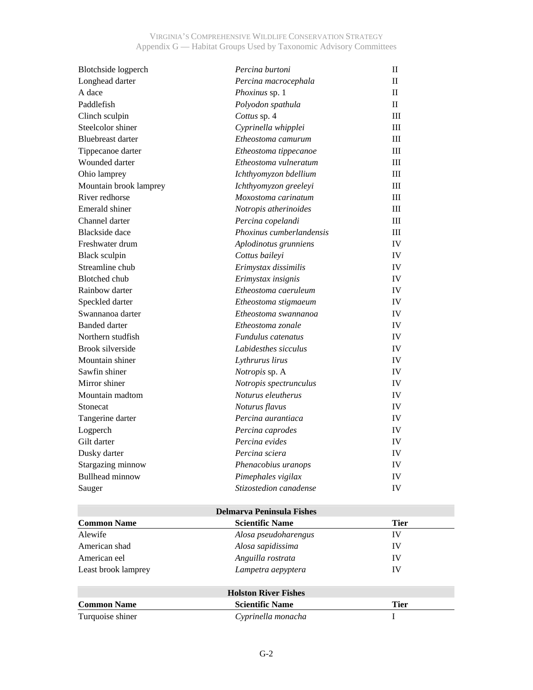| Blotchside logperch      | Percina burtoni                  | $_{\rm II}$  |
|--------------------------|----------------------------------|--------------|
| Longhead darter          | Percina macrocephala             | $\mathbf{I}$ |
| A dace                   | Phoxinus sp. 1                   | $\mathbf{I}$ |
| Paddlefish               | Polyodon spathula                | H            |
| Clinch sculpin           | Cottus sp. 4                     | III          |
| Steelcolor shiner        | Cyprinella whipplei              | III          |
| <b>Bluebreast darter</b> | Etheostoma camurum               | III          |
| Tippecanoe darter        | Etheostoma tippecanoe            | Ш            |
| Wounded darter           | Etheostoma vulneratum            | III          |
| Ohio lamprey             | Ichthyomyzon bdellium            | III          |
| Mountain brook lamprey   | Ichthyomyzon greeleyi            | $\rm III$    |
| River redhorse           | Moxostoma carinatum              | Ш            |
| Emerald shiner           | Notropis atherinoides            | Ш            |
| Channel darter           | Percina copelandi                | III          |
| <b>Blackside</b> dace    | Phoxinus cumberlandensis         | III          |
| Freshwater drum          | Aplodinotus grunniens            | IV           |
| <b>Black sculpin</b>     | Cottus baileyi                   | IV           |
| Streamline chub          | Erimystax dissimilis             | IV           |
| <b>Blotched</b> chub     | Erimystax insignis               | IV           |
| Rainbow darter           | Etheostoma caeruleum             | IV           |
| Speckled darter          | Etheostoma stigmaeum             | IV           |
| Swannanoa darter         | Etheostoma swannanoa             | IV           |
| <b>Banded darter</b>     | Etheostoma zonale                | IV           |
| Northern studfish        | Fundulus catenatus               | IV           |
| <b>Brook silverside</b>  | Labidesthes sicculus             | IV           |
| Mountain shiner          | Lythrurus lirus                  | IV           |
| Sawfin shiner            | Notropis sp. A                   | IV           |
| Mirror shiner            | Notropis spectrunculus           | IV           |
| Mountain madtom          | Noturus eleutherus               | IV           |
| Stonecat                 | Noturus flavus                   | IV           |
| Tangerine darter         | Percina aurantiaca               | IV           |
| Logperch                 | Percina caprodes                 | IV           |
| Gilt darter              | Percina evides                   | IV           |
| Dusky darter             | Percina sciera                   | ${\rm IV}$   |
| Stargazing minnow        | Phenacobius uranops              | IV           |
| <b>Bullhead minnow</b>   | Pimephales vigilax               | IV           |
| Sauger                   | Stizostedion canadense           | IV           |
|                          | <b>Delmarva Peninsula Fishes</b> |              |
| <b>Common Name</b>       | <b>Scientific Name</b>           | <b>Tier</b>  |

| <b>Common Name</b>  | <b>Scientific Name</b>      | <b>Tier</b> |
|---------------------|-----------------------------|-------------|
| Alewife             | Alosa pseudoharengus        | IV          |
| American shad       | Alosa sapidissima           | IV          |
| American eel        | Anguilla rostrata           | IV          |
| Least brook lamprey | Lampetra aepyptera          | IV          |
|                     | <b>Holston River Fishes</b> |             |
| <b>Common Name</b>  | <b>Scientific Name</b>      | <b>Tier</b> |
| Turquoise shiner    | Cyprinella monacha          |             |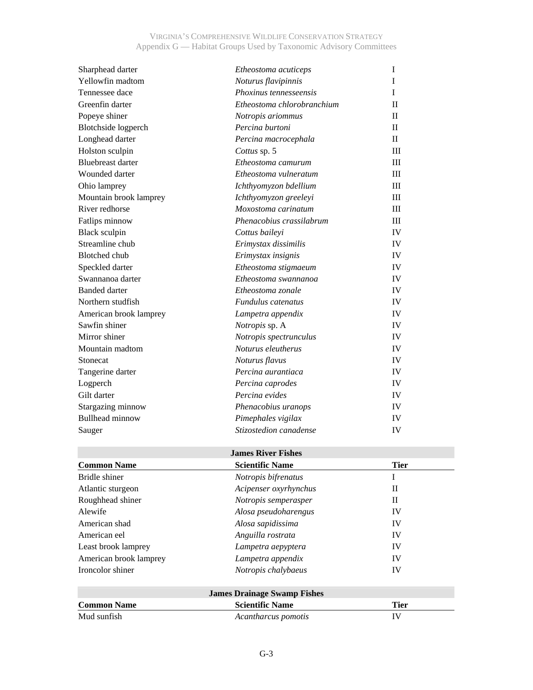| Sharphead darter           | Etheostoma acuticeps       | I            |
|----------------------------|----------------------------|--------------|
| Yellowfin madtom           | Noturus flavipinnis        | I            |
| Tennessee dace             | Phoxinus tennesseensis     | I            |
| Greenfin darter            | Etheostoma chlorobranchium | $\Pi$        |
| Popeye shiner              | Notropis ariommus          | $\mathbf{I}$ |
| <b>Blotchside</b> logperch | Percina burtoni            | $\mathbf{I}$ |
| Longhead darter            | Percina macrocephala       | $\mathbf{H}$ |
| Holston sculpin            | Cottus sp. 5               | III          |
| <b>Bluebreast darter</b>   | Etheostoma camurum         | III          |
| Wounded darter             | Etheostoma vulneratum      | III          |
| Ohio lamprey               | Ichthyomyzon bdellium      | III          |
| Mountain brook lamprey     | Ichthyomyzon greeleyi      | III          |
| River redhorse             | Moxostoma carinatum        | III          |
| Fatlips minnow             | Phenacobius crassilabrum   | III          |
| <b>Black sculpin</b>       | Cottus baileyi             | IV           |
| Streamline chub            | Erimystax dissimilis       | <b>IV</b>    |
| <b>Blotched</b> chub       | Erimystax insignis         | IV           |
| Speckled darter            | Etheostoma stigmaeum       | <b>IV</b>    |
| Swannanoa darter           | Etheostoma swannanoa       | <b>IV</b>    |
| <b>Banded darter</b>       | Etheostoma zonale          | IV           |
| Northern studfish          | Fundulus catenatus         | IV           |
| American brook lamprey     | Lampetra appendix          | IV           |
| Sawfin shiner              | Notropis sp. A             | IV           |
| Mirror shiner              | Notropis spectrunculus     | IV           |
| Mountain madtom            | Noturus eleutherus         | IV           |
| Stonecat                   | Noturus flavus             | IV           |
| Tangerine darter           | Percina aurantiaca         | IV           |
| Logperch                   | Percina caprodes           | IV           |
| Gilt darter                | Percina evides             | <b>IV</b>    |
| Stargazing minnow          | Phenacobius uranops        | IV           |
| <b>Bullhead minnow</b>     | Pimephales vigilax         | IV           |
| Sauger                     | Stizostedion canadense     | IV           |

# **James River Fishes**

| <b>Common Name</b>     | <b>Scientific Name</b> | <b>Tier</b> |
|------------------------|------------------------|-------------|
| Bridle shiner          | Notropis bifrenatus    |             |
| Atlantic sturgeon      | Acipenser oxyrhynchus  | Н           |
| Roughhead shiner       | Notropis semperasper   | П           |
| Alewife                | Alosa pseudoharengus   | IV          |
| American shad          | Alosa sapidissima      | IV          |
| American eel           | Anguilla rostrata      | IV          |
| Least brook lamprey    | Lampetra aepyptera     | IV          |
| American brook lamprey | Lampetra appendix      | IV          |
| Ironcolor shiner       | Notropis chalybaeus    | IV          |
|                        |                        |             |

| <b>James Drainage Swamp Fishes</b> |                        |      |  |
|------------------------------------|------------------------|------|--|
| <b>Common Name</b>                 | <b>Scientific Name</b> | Tier |  |
| Mud sunfish                        | Acantharcus pomotis    | IV   |  |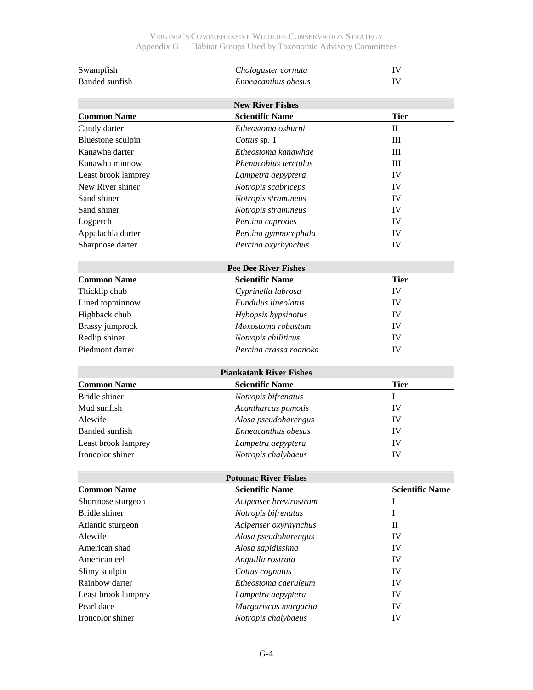| Swampfish             | Chologaster cornuta            | IV                     |
|-----------------------|--------------------------------|------------------------|
| <b>Banded</b> sunfish | Enneacanthus obesus            | IV                     |
|                       |                                |                        |
|                       | <b>New River Fishes</b>        |                        |
| <b>Common Name</b>    | <b>Scientific Name</b>         | <b>Tier</b>            |
| Candy darter          | Etheostoma osburni             | $\mathbf{I}$           |
| Bluestone sculpin     | Cottus sp. 1                   | Ш                      |
| Kanawha darter        | Etheostoma kanawhae            | Ш                      |
| Kanawha minnow        | Phenacobius teretulus          | III                    |
| Least brook lamprey   | Lampetra aepyptera             | IV                     |
| New River shiner      | Notropis scabriceps            | IV                     |
| Sand shiner           | Notropis stramineus            | IV                     |
| Sand shiner           | Notropis stramineus            | IV                     |
| Logperch              | Percina caprodes               | IV                     |
| Appalachia darter     | Percina gymnocephala           | IV                     |
| Sharpnose darter      | Percina oxyrhynchus            | IV                     |
|                       | <b>Pee Dee River Fishes</b>    |                        |
| <b>Common Name</b>    | <b>Scientific Name</b>         | <b>Tier</b>            |
| Thicklip chub         | Cyprinella labrosa             | IV                     |
| Lined topminnow       | Fundulus lineolatus            | IV                     |
| Highback chub         | Hybopsis hypsinotus            | IV                     |
| Brassy jumprock       | Moxostoma robustum             | IV                     |
| Redlip shiner         | Notropis chiliticus            | IV                     |
| Piedmont darter       | Percina crassa roanoka         | IV                     |
|                       |                                |                        |
|                       | <b>Piankatank River Fishes</b> |                        |
| <b>Common Name</b>    | <b>Scientific Name</b>         | <b>Tier</b>            |
| Bridle shiner         | Notropis bifrenatus            | L                      |
| Mud sunfish           | Acantharcus pomotis            | IV                     |
| Alewife               | Alosa pseudoharengus           | IV                     |
| Banded sunfish        | Enneacanthus obesus            | IV                     |
| Least brook lamprey   | Lampetra aepyptera             | IV                     |
| Ironcolor shiner      | Notropis chalybaeus            | IV                     |
|                       | <b>Potomac River Fishes</b>    |                        |
| <b>Common Name</b>    | <b>Scientific Name</b>         | <b>Scientific Name</b> |
| Shortnose sturgeon    | Acipenser brevirostrum         | $\bf{I}$               |
| Bridle shiner         | Notropis bifrenatus            | Ι                      |
| Atlantic sturgeon     | Acipenser oxyrhynchus          | $\mathbf{I}$           |
| Alewife               | Alosa pseudoharengus           | IV                     |
| American shad         | Alosa sapidissima              | IV                     |
| American eel          | Anguilla rostrata              | IV                     |
| Slimy sculpin         | Cottus cognatus                | IV                     |
| Rainbow darter        | Etheostoma caeruleum           | IV                     |
| Least brook lamprey   | Lampetra aepyptera             | IV                     |
| Pearl dace            | Margariscus margarita          | IV                     |
| Ironcolor shiner      | Notropis chalybaeus            | IV                     |
|                       |                                |                        |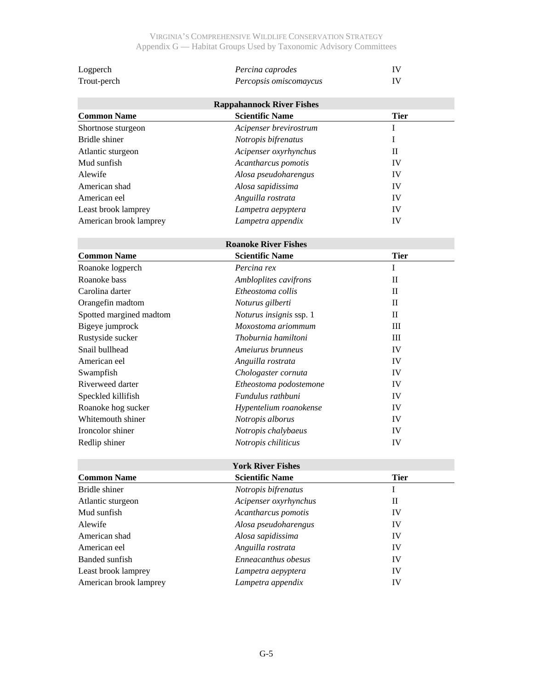| Logperch                | Percina caprodes                 | IV           |
|-------------------------|----------------------------------|--------------|
| Trout-perch             | Percopsis omiscomaycus           | IV           |
|                         | <b>Rappahannock River Fishes</b> |              |
| <b>Common Name</b>      | <b>Scientific Name</b>           | <b>Tier</b>  |
| Shortnose sturgeon      | Acipenser brevirostrum           | I            |
| <b>Bridle</b> shiner    | Notropis bifrenatus              | I            |
| Atlantic sturgeon       | Acipenser oxyrhynchus            | $\mathbf{I}$ |
| Mud sunfish             | Acantharcus pomotis              | IV           |
| Alewife                 | Alosa pseudoharengus             | IV           |
| American shad           | Alosa sapidissima                | IV           |
| American eel            | Anguilla rostrata                | IV           |
| Least brook lamprey     | Lampetra aepyptera               | IV           |
| American brook lamprey  | Lampetra appendix                | IV           |
|                         | <b>Roanoke River Fishes</b>      |              |
| <b>Common Name</b>      | <b>Scientific Name</b>           | <b>Tier</b>  |
| Roanoke logperch        | Percina rex                      | I            |
| Roanoke bass            | Ambloplites cavifrons            | $\mathbf{I}$ |
| Carolina darter         | Etheostoma collis                | $_{\rm II}$  |
| Orangefin madtom        | Noturus gilberti                 | $_{\rm II}$  |
| Spotted margined madtom | Noturus insignis ssp. 1          | $\mathbf{I}$ |
| Bigeye jumprock         | Moxostoma ariommum               | III          |
| Rustyside sucker        | Thoburnia hamiltoni              | III          |
| Snail bullhead          | Ameiurus brunneus                | IV           |
| American eel            | Anguilla rostrata                | IV           |
| Swampfish               | Chologaster cornuta              | IV           |
| Riverweed darter        | Etheostoma podostemone           | IV           |
| Speckled killifish      | Fundulus rathbuni                | IV           |
| Roanoke hog sucker      | Hypentelium roanokense           | IV           |
| Whitemouth shiner       | Notropis alborus                 | IV           |
| Ironcolor shiner        | Notropis chalybaeus              | IV           |
| Redlip shiner           | Notropis chiliticus              | IV           |

|                        | <b>York River Fishes</b> |             |  |
|------------------------|--------------------------|-------------|--|
| <b>Common Name</b>     | <b>Scientific Name</b>   | <b>Tier</b> |  |
| Bridle shiner          | Notropis bifrenatus      |             |  |
| Atlantic sturgeon      | Acipenser oxyrhynchus    | H           |  |
| Mud sunfish            | Acantharcus pomotis      | IV          |  |
| Alewife                | Alosa pseudoharengus     | IV          |  |
| American shad          | Alosa sapidissima        | IV          |  |
| American eel           | Anguilla rostrata        | IV          |  |
| Banded sunfish         | Enneacanthus obesus      | IV          |  |
| Least brook lamprey    | Lampetra aepyptera       | IV          |  |
| American brook lamprey | Lampetra appendix        | IV          |  |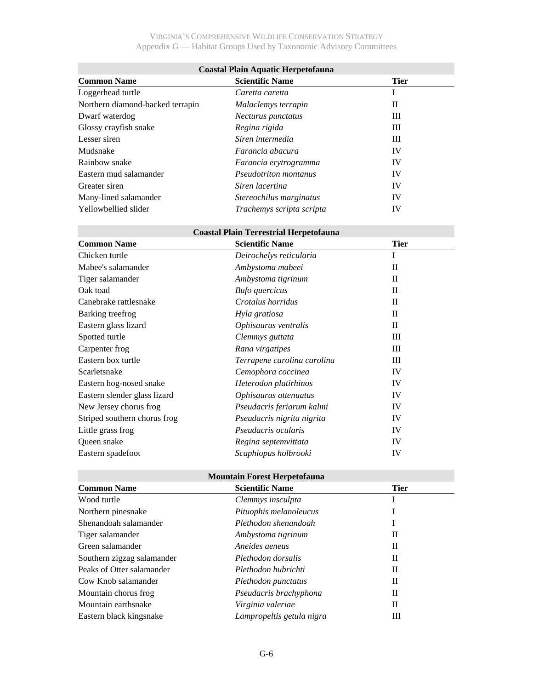| <b>Coastal Plain Aquatic Herpetofauna</b> |                              |             |  |
|-------------------------------------------|------------------------------|-------------|--|
| <b>Common Name</b>                        | <b>Scientific Name</b>       | <b>Tier</b> |  |
| Loggerhead turtle                         | Caretta caretta              |             |  |
| Northern diamond-backed terrapin          | Malaclemys terrapin          | Н           |  |
| Dwarf waterdog                            | Necturus punctatus           | Ш           |  |
| Glossy crayfish snake                     | Regina rigida                | Ш           |  |
| Lesser siren                              | Siren intermedia             | Ш           |  |
| Mudsnake                                  | Farancia abacura             | IV          |  |
| Rainbow snake                             | Farancia erytrogramma        | IV          |  |
| Eastern mud salamander                    | <i>Pseudotriton montanus</i> | IV          |  |
| Greater siren                             | Siren lacertina              | IV          |  |
| Many-lined salamander                     | Stereochilus marginatus      | IV          |  |
| Yellowbellied slider                      | Trachemys scripta scripta    | IV          |  |

# **Coastal Plain Terrestrial Herpetofauna**

| <b>Common Name</b>           | <b>Scientific Name</b>      | <b>Tier</b>  |
|------------------------------|-----------------------------|--------------|
| Chicken turtle               | Deirochelys reticularia     | I            |
| Mabee's salamander           | Ambystoma mabeei            | $\mathbf{I}$ |
| Tiger salamander             | Ambystoma tigrinum          | $\Pi$        |
| Oak toad                     | <b>Bufo</b> quercicus       | $\Pi$        |
| Canebrake rattlesnake        | Crotalus horridus           | $\mathbf{I}$ |
| Barking treefrog             | Hyla gratiosa               | $\Pi$        |
| Eastern glass lizard         | Ophisaurus ventralis        | $\Pi$        |
| Spotted turtle               | Clemmys guttata             | Ш            |
| Carpenter frog               | Rana virgatipes             | Ш            |
| Eastern box turtle           | Terrapene carolina carolina | Ш            |
| Scarletsnake                 | Cemophora coccinea          | IV           |
| Eastern hog-nosed snake      | Heterodon platirhinos       | IV           |
| Eastern slender glass lizard | Ophisaurus attenuatus       | IV           |
| New Jersey chorus frog       | Pseudacris feriarum kalmi   | IV           |
| Striped southern chorus frog | Pseudacris nigrita nigrita  | IV           |
| Little grass frog            | Pseudacris ocularis         | IV           |
| Queen snake                  | Regina septemvittata        | IV           |
| Eastern spadefoot            | Scaphiopus holbrooki        | IV           |

## **Mountain Forest Herpetofauna**

| <b>Common Name</b>         | <b>Scientific Name</b>    | <b>Tier</b> |  |
|----------------------------|---------------------------|-------------|--|
| Wood turtle                | Clemmys insculpta         |             |  |
| Northern pinesnake         | Pituophis melanoleucus    |             |  |
| Shenandoah salamander      | Plethodon shenandoah      |             |  |
| Tiger salamander           | Ambystoma tigrinum        | П           |  |
| Green salamander           | Aneides aeneus            | П           |  |
| Southern zigzag salamander | Plethodon dorsalis        | П           |  |
| Peaks of Otter salamander  | Plethodon hubrichti       | П           |  |
| Cow Knob salamander        | Plethodon punctatus       | П           |  |
| Mountain chorus frog       | Pseudacris brachyphona    | П           |  |
| Mountain earthsnake        | Virginia valeriae         | П           |  |
| Eastern black kingsnake    | Lampropeltis getula nigra | Ш           |  |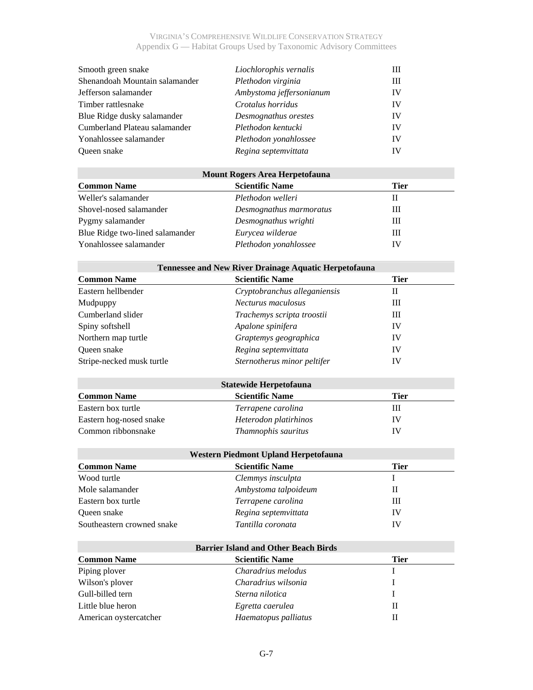| Smooth green snake             | Liochlorophis vernalis   | Ш  |
|--------------------------------|--------------------------|----|
| Shenandoah Mountain salamander | Plethodon virginia       | Ш  |
| Jefferson salamander           | Ambystoma jeffersonianum | IV |
| Timber rattlesnake             | Crotalus horridus        | IV |
| Blue Ridge dusky salamander    | Desmognathus orestes     | IV |
| Cumberland Plateau salamander  | Plethodon kentucki       | IV |
| Yonahlossee salamander         | Plethodon yonahlossee    | IV |
| <b>Oueen</b> snake             | Regina septemvittata     | IV |

## **Mount Rogers Area Herpetofauna**

| <b>Common Name</b>              | <b>Scientific Name</b>  | Tier |
|---------------------------------|-------------------------|------|
| Weller's salamander             | Plethodon welleri       |      |
| Shovel-nosed salamander         | Desmognathus marmoratus | Ш    |
| Pygmy salamander                | Desmognathus wrighti    | Ш    |
| Blue Ridge two-lined salamander | Eurycea wilderae        | Ш    |
| Yonahlossee salamander          | Plethodon yonahlossee   | IV   |

| <b>Tennessee and New River Drainage Aquatic Herpetofauna</b> |                               |             |  |
|--------------------------------------------------------------|-------------------------------|-------------|--|
| <b>Common Name</b>                                           | <b>Scientific Name</b>        | <b>Tier</b> |  |
| Eastern hellbender                                           | Cryptobranchus alleganiensis  | П           |  |
| Mudpuppy                                                     | Necturus maculosus            | Ш           |  |
| Cumberland slider                                            | Trachemys scripta troostii    | Ш           |  |
| Spiny softshell                                              | Apalone spinifera             | IV          |  |
| Northern map turtle                                          | Graptemys geographica         | IV          |  |
| Oueen snake                                                  | Regina septemvittata          | IV          |  |
| Stripe-necked musk turtle                                    | Sternotherus minor peltifer   | IV          |  |
|                                                              | <b>Statewide Herpetofauna</b> |             |  |
| <b>Common Name</b>                                           | <b>Scientific Name</b>        | <b>Tier</b> |  |
| Eastern box turtle                                           | Terrapene carolina            | Ш           |  |
| Eastern hog-nosed snake                                      | Heterodon platirhinos         | IV          |  |
| Common ribbonsnake                                           | Thamnophis sauritus           | IV          |  |

| Western Piedmont Upland Herpetofauna |                        |      |
|--------------------------------------|------------------------|------|
| <b>Common Name</b>                   | <b>Scientific Name</b> | Tier |
| Wood turtle                          | Clemmys insculpta      |      |
| Mole salamander                      | Ambystoma talpoideum   |      |
| Eastern box turtle                   | Terrapene carolina     | Ш    |
| Oueen snake                          | Regina septemvittata   | IV   |
| Southeastern crowned snake           | Tantilla coronata      | IV   |

| <b>Barrier Island and Other Beach Birds</b> |                        |             |
|---------------------------------------------|------------------------|-------------|
| <b>Common Name</b>                          | <b>Scientific Name</b> | <b>Tier</b> |
| Piping plover                               | Charadrius melodus     |             |
| Wilson's plover                             | Charadrius wilsonia    |             |
| Gull-billed tern                            | Sterna nilotica        |             |
| Little blue heron                           | Egretta caerulea       | П           |
| American oystercatcher                      | Haematopus palliatus   |             |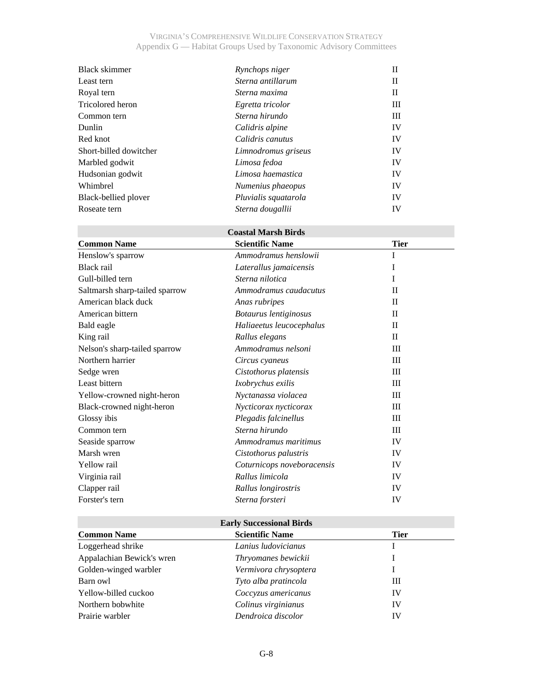| Black skimmer          | Rynchops niger       | Н  |
|------------------------|----------------------|----|
| Least tern             | Sterna antillarum    | П  |
| Royal tern             | Sterna maxima        | П  |
| Tricolored heron       | Egretta tricolor     | Ш  |
| Common tern            | Sterna hirundo       | Ш  |
| Dunlin                 | Calidris alpine      | IV |
| Red knot               | Calidris canutus     | IV |
| Short-billed dowitcher | Limnodromus griseus  | IV |
| Marbled godwit         | Limosa fedoa         | IV |
| Hudsonian godwit       | Limosa haemastica    | IV |
| Whimbrel               | Numenius phaeopus    | IV |
| Black-bellied plover   | Pluvialis squatarola | IV |
| Roseate tern           | Sterna dougallii     | IV |

# **Coastal Marsh Birds**

| <b>Common Name</b>             | <b>Scientific Name</b>     | <b>Tier</b>  |  |
|--------------------------------|----------------------------|--------------|--|
| Henslow's sparrow              | Ammodramus henslowii       | I            |  |
| Black rail                     | Laterallus jamaicensis     | I            |  |
| Gull-billed tern               | Sterna nilotica            | I            |  |
| Saltmarsh sharp-tailed sparrow | Ammodramus caudacutus      | $\mathbf{I}$ |  |
| American black duck            | Anas rubripes              | $\Pi$        |  |
| American bittern               | Botaurus lentiginosus      | $\mathbf{I}$ |  |
| Bald eagle                     | Haliaeetus leucocephalus   | $\Pi$        |  |
| King rail                      | Rallus elegans             | $\mathbf{I}$ |  |
| Nelson's sharp-tailed sparrow  | Ammodramus nelsoni         | III          |  |
| Northern harrier               | Circus cyaneus             | Ш            |  |
| Sedge wren                     | Cistothorus platensis      | III          |  |
| Least bittern                  | Ixobrychus exilis          | Ш            |  |
| Yellow-crowned night-heron     | Nyctanassa violacea        | III          |  |
| Black-crowned night-heron      | Nycticorax nycticorax      | Ш            |  |
| Glossy ibis                    | Plegadis falcinellus       | Ш            |  |
| Common tern                    | Sterna hirundo             | Ш            |  |
| Seaside sparrow                | Ammodramus maritimus       | IV           |  |
| Marsh wren                     | Cistothorus palustris      | IV           |  |
| Yellow rail                    | Coturnicops noveboracensis | IV           |  |
| Virginia rail                  | Rallus limicola            | IV           |  |
| Clapper rail                   | Rallus longirostris        | IV           |  |
| Forster's tern                 | Sterna forsteri            | IV           |  |

| <b>Early Successional Birds</b> |                        |             |
|---------------------------------|------------------------|-------------|
| <b>Common Name</b>              | <b>Scientific Name</b> | <b>Tier</b> |
| Loggerhead shrike               | Lanius ludovicianus    |             |
| Appalachian Bewick's wren       | Thryomanes bewickii    |             |
| Golden-winged warbler           | Vermivora chrysoptera  |             |
| Barn owl                        | Tyto alba pratincola   | Ш           |
| Yellow-billed cuckoo            | Coccyzus americanus    | IV          |
| Northern bobwhite               | Colinus virginianus    | IV          |
| Prairie warbler                 | Dendroica discolor     | IV          |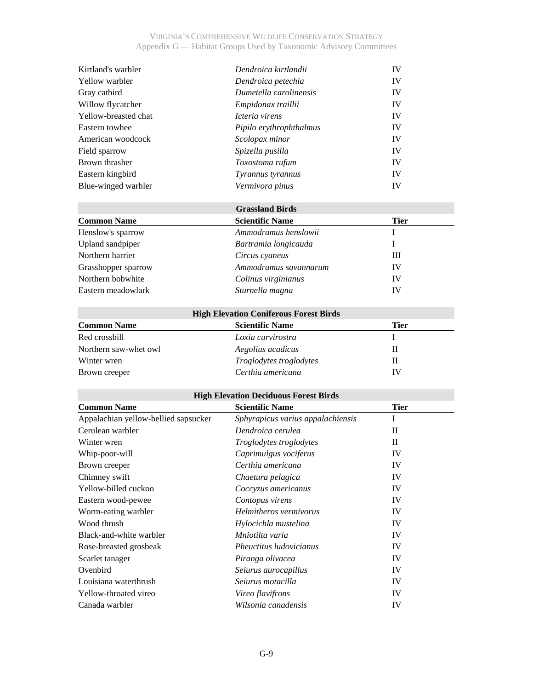| Dendroica kirtlandii    | IV |
|-------------------------|----|
| Dendroica petechia      | IV |
| Dumetella carolinensis  | IV |
| Empidonax traillii      | IV |
| Icteria virens          | IV |
| Pipilo erythrophthalmus | IV |
| Scolopax minor          | IV |
| Spizella pusilla        | IV |
| Toxostoma rufum         | IV |
| Tyrannus tyrannus       | IV |
| Vermivora pinus         | IV |
|                         |    |

|                     | <b>Grassland Birds</b> |             |  |
|---------------------|------------------------|-------------|--|
| <b>Common Name</b>  | <b>Scientific Name</b> | <b>Tier</b> |  |
| Henslow's sparrow   | Ammodramus henslowii   |             |  |
| Upland sandpiper    | Bartramia longicauda   |             |  |
| Northern harrier    | Circus cyaneus         | Ш           |  |
| Grasshopper sparrow | Ammodramus savannarum  | IV          |  |
| Northern bobwhite   | Colinus virginianus    | IV          |  |
| Eastern meadowlark  | Sturnella magna        | IV          |  |

| <b>High Elevation Coniferous Forest Birds</b> |                                |      |
|-----------------------------------------------|--------------------------------|------|
| <b>Common Name</b>                            | <b>Scientific Name</b>         | Tier |
| Red crossbill                                 | Loxia curvirostra              |      |
| Northern saw-whet owl                         | Aegolius acadicus              |      |
| Winter wren                                   | <i>Troglodytes troglodytes</i> |      |
| Brown creeper                                 | Certhia americana              | IV   |

## **High Elevation Deciduous Forest Birds**

| <b>Common Name</b>                   | <b>Scientific Name</b>            | <b>Tier</b>  |
|--------------------------------------|-----------------------------------|--------------|
| Appalachian yellow-bellied sapsucker | Sphyrapicus varius appalachiensis | I            |
| Cerulean warbler                     | Dendroica cerulea                 | $\mathbf{I}$ |
| Winter wren                          | <i>Troglodytes troglodytes</i>    | $\mathbf{I}$ |
| Whip-poor-will                       | Caprimulgus vociferus             | IV           |
| Brown creeper                        | Certhia americana                 | IV           |
| Chimney swift                        | Chaetura pelagica                 | IV           |
| Yellow-billed cuckoo                 | Coccyzus americanus               | IV           |
| Eastern wood-pewee                   | Contopus virens                   | IV           |
| Worm-eating warbler                  | Helmitheros vermivorus            | IV           |
| Wood thrush                          | Hylocichla mustelina              | IV           |
| Black-and-white warbler              | Mniotilta varia                   | IV           |
| Rose-breasted grosbeak               | Pheuctitus ludovicianus           | IV           |
| Scarlet tanager                      | Piranga olivacea                  | IV           |
| Ovenbird                             | Seiurus aurocapillus              | IV           |
| Louisiana waterthrush                | Seiurus motacilla                 | IV           |
| Yellow-throated vireo                | <i>Vireo flavifrons</i>           | IV           |
| Canada warbler                       | Wilsonia canadensis               | IV           |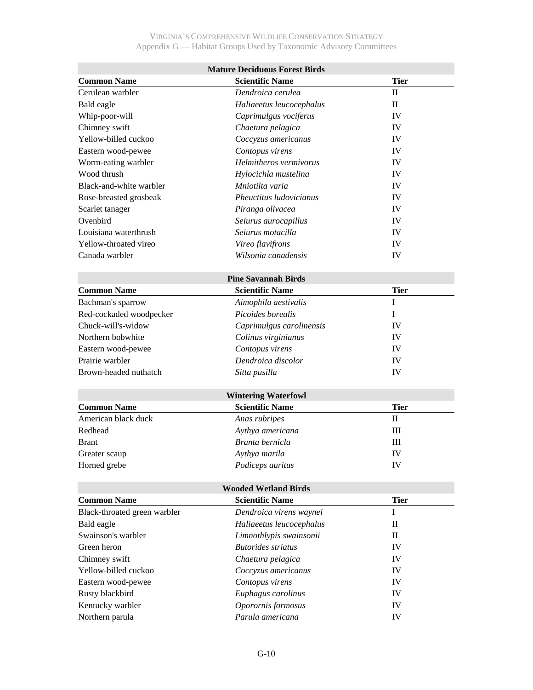| <b>Mature Deciduous Forest Birds</b> |                             |              |
|--------------------------------------|-----------------------------|--------------|
| <b>Common Name</b>                   | <b>Scientific Name</b>      | <b>Tier</b>  |
| Cerulean warbler                     | Dendroica cerulea           | $\mathbf{I}$ |
| Bald eagle                           | Haliaeetus leucocephalus    | $\mathbf{I}$ |
| Whip-poor-will                       | Caprimulgus vociferus       | IV           |
| Chimney swift                        | Chaetura pelagica           | IV           |
| Yellow-billed cuckoo                 | Coccyzus americanus         | IV           |
| Eastern wood-pewee                   | Contopus virens             | IV           |
| Worm-eating warbler                  | Helmitheros vermivorus      | IV           |
| Wood thrush                          | Hylocichla mustelina        | IV           |
| Black-and-white warbler              | Mniotilta varia             | IV           |
| Rose-breasted grosbeak               | Pheuctitus ludovicianus     | IV           |
| Scarlet tanager                      | Piranga olivacea            | IV           |
| Ovenbird                             | Seiurus aurocapillus        | IV           |
| Louisiana waterthrush                | Seiurus motacilla           | IV           |
| Yellow-throated vireo                | Vireo flavifrons            | IV           |
| Canada warbler                       | Wilsonia canadensis         | IV           |
|                                      |                             |              |
|                                      | <b>Pine Savannah Birds</b>  |              |
| <b>Common Name</b>                   | <b>Scientific Name</b>      | <b>Tier</b>  |
| Bachman's sparrow                    | Aimophila aestivalis        | $\mathbf I$  |
| Red-cockaded woodpecker              | Picoides borealis           | Ι            |
| Chuck-will's-widow                   | Caprimulgus carolinensis    | IV           |
| Northern bobwhite                    | Colinus virginianus         | IV           |
| Eastern wood-pewee                   | Contopus virens             | IV           |
| Prairie warbler                      | Dendroica discolor          | IV           |
| Brown-headed nuthatch                | Sitta pusilla               | IV           |
|                                      |                             |              |
|                                      | <b>Wintering Waterfowl</b>  |              |
| <b>Common Name</b>                   | <b>Scientific Name</b>      | <b>Tier</b>  |
| American black duck                  | Anas rubripes               | $\mathbf{I}$ |
| Redhead                              | Aythya americana            | Ш            |
| <b>Brant</b>                         | Branta bernicla             | III          |
| Greater scaup                        | Aythya marila               | IV           |
| Horned grebe                         | Podiceps auritus            | IV           |
|                                      |                             |              |
|                                      | <b>Wooded Wetland Birds</b> |              |
| <b>Common Name</b>                   | <b>Scientific Name</b>      | <b>Tier</b>  |
| Black-throated green warbler         | Dendroica virens waynei     | $\bf I$      |
| Bald eagle                           | Haliaeetus leucocephalus    | $\rm _{II}$  |
| Swainson's warbler                   | Limnothlypis swainsonii     | $\mathbf{I}$ |
| Green heron                          | <b>Butorides</b> striatus   | IV           |
| Chimney swift                        | Chaetura pelagica           | IV           |
| Yellow-billed cuckoo                 | Coccyzus americanus         | IV           |
| Eastern wood-pewee                   | Contopus virens             | IV           |
| Rusty blackbird                      | Euphagus carolinus          | IV           |
| Kentucky warbler                     | Oporornis formosus          | IV           |
| Northern parula                      | Parula americana            | IV           |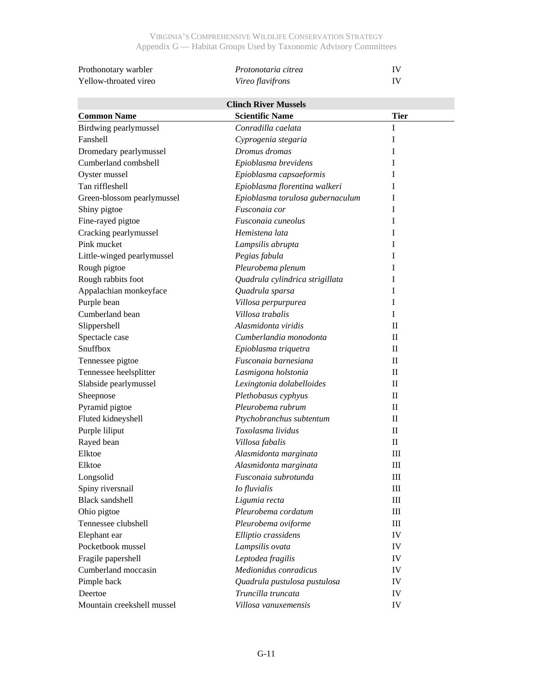| Prothonotary warbler  | <i>Protonotaria citrea</i> |  |
|-----------------------|----------------------------|--|
| Yellow-throated vireo | <i>Vireo flavifrons</i>    |  |

| <b>Clinch River Mussels</b> |                                  |              |
|-----------------------------|----------------------------------|--------------|
| <b>Common Name</b>          | <b>Scientific Name</b>           | <b>Tier</b>  |
| Birdwing pearlymussel       | Conradilla caelata               | $\mathbf I$  |
| Fanshell                    | Cyprogenia stegaria              | I            |
| Dromedary pearlymussel      | Dromus dromas                    | I            |
| Cumberland combshell        | Epioblasma brevidens             | I            |
| Oyster mussel               | Epioblasma capsaeformis          | I            |
| Tan riffleshell             | Epioblasma florentina walkeri    | I            |
| Green-blossom pearlymussel  | Epioblasma torulosa gubernaculum | I            |
| Shiny pigtoe                | Fusconaia cor                    | I            |
| Fine-rayed pigtoe           | Fusconaia cuneolus               | I            |
| Cracking pearlymussel       | Hemistena lata                   | I            |
| Pink mucket                 | Lampsilis abrupta                | I            |
| Little-winged pearlymussel  | Pegias fabula                    | I            |
| Rough pigtoe                | Pleurobema plenum                | I            |
| Rough rabbits foot          | Quadrula cylindrica strigillata  | I            |
| Appalachian monkeyface      | Quadrula sparsa                  | I            |
| Purple bean                 | Villosa perpurpurea              | I            |
| Cumberland bean             | Villosa trabalis                 | I            |
| Slippershell                | Alasmidonta viridis              | $\mathbf{I}$ |
| Spectacle case              | Cumberlandia monodonta           | $\mathbf{I}$ |
| Snuffbox                    | Epioblasma triquetra             | $\mathbf{I}$ |
| Tennessee pigtoe            | Fusconaia barnesiana             | П            |
| Tennessee heelsplitter      | Lasmigona holstonia              | П            |
| Slabside pearlymussel       | Lexingtonia dolabelloides        | П            |
| Sheepnose                   | Plethobasus cyphyus              | $\Pi$        |
| Pyramid pigtoe              | Pleurobema rubrum                | $\mathbf{I}$ |
| Fluted kidneyshell          | Ptychobranchus subtentum         | П            |
| Purple liliput              | Toxolasma lividus                | $\mathbf{I}$ |
| Rayed bean                  | Villosa fabalis                  | $\rm II$     |
| Elktoe                      | Alasmidonta marginata            | Ш            |
| Elktoe                      | Alasmidonta marginata            | Ш            |
| Longsolid                   | Fusconaia subrotunda             | Ш            |
| Spiny riversnail            | Io fluvialis                     | Ш            |
| <b>Black sandshell</b>      | Ligumia recta                    | Ш            |
| Ohio pigtoe                 | Pleurobema cordatum              | Ш            |
| Tennessee clubshell         | Pleurobema oviforme              | Ш            |
| Elephant ear                | Elliptio crassidens              | IV           |
| Pocketbook mussel           | Lampsilis ovata                  | IV           |
| Fragile papershell          | Leptodea fragilis                | IV           |
| Cumberland moccasin         | Medionidus conradicus            | IV           |
| Pimple back                 | Quadrula pustulosa pustulosa     | IV           |
| Deertoe                     | Truncilla truncata               | IV           |
| Mountain creekshell mussel  | Villosa vanuxemensis             | IV           |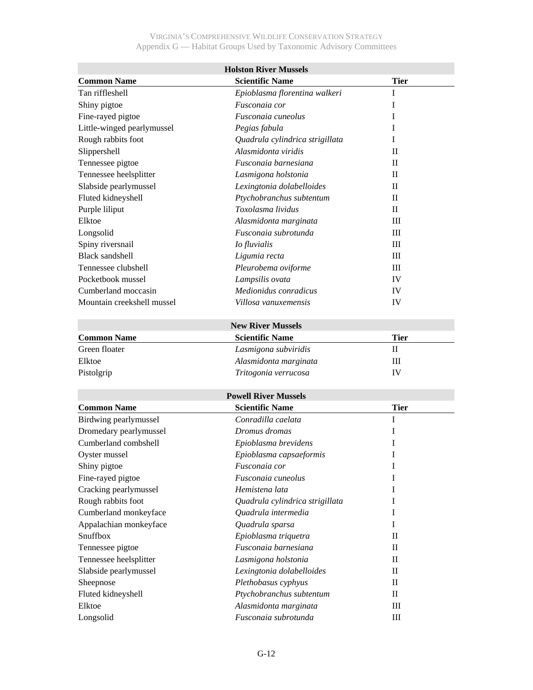| <b>Holston River Mussels</b> |                                 |              |
|------------------------------|---------------------------------|--------------|
| <b>Common Name</b>           | <b>Scientific Name</b>          | <b>Tier</b>  |
| Tan riffleshell              | Epioblasma florentina walkeri   | I            |
| Shiny pigtoe                 | Fusconaia cor                   | I            |
| Fine-rayed pigtoe            | Fusconaia cuneolus              | I            |
| Little-winged pearlymussel   | Pegias fabula                   | I            |
| Rough rabbits foot           | Quadrula cylindrica strigillata | I            |
| Slippershell                 | Alasmidonta viridis             | П            |
| Tennessee pigtoe             | Fusconaia barnesiana            | $_{\rm II}$  |
| Tennessee heelsplitter       | Lasmigona holstonia             | $\Pi$        |
| Slabside pearlymussel        | Lexingtonia dolabelloides       | П            |
| Fluted kidneyshell           | Ptychobranchus subtentum        | $\mathbf{I}$ |
| Purple liliput               | Toxolasma lividus               | $\rm II$     |
| Elktoe                       | Alasmidonta marginata           | III          |
| Longsolid                    | Fusconaia subrotunda            | Ш            |
| Spiny riversnail             | Io fluvialis                    | Ш            |
| <b>Black sandshell</b>       | Ligumia recta                   | Ш            |
| Tennessee clubshell          | Pleurobema oviforme             | III          |
| Pocketbook mussel            | Lampsilis ovata                 | IV           |
| Cumberland moccasin          | Medionidus conradicus           | IV           |
| Mountain creekshell mussel   | Villosa vanuxemensis            | IV           |
|                              |                                 |              |
|                              | <b>New River Mussels</b>        |              |
| <b>Common Name</b>           | <b>Scientific Name</b>          | <b>Tier</b>  |
| Green floater                | Lasmigona subviridis            | $\mathbf{I}$ |
| Elktoe                       | Alasmidonta marginata           | III          |
| Pistolgrip                   | Tritogonia verrucosa            | IV           |
|                              |                                 |              |
|                              | <b>Powell River Mussels</b>     |              |
| <b>Common Name</b>           | <b>Scientific Name</b>          | <b>Tier</b>  |
| Birdwing pearlymussel        | Conradilla caelata              | I            |
| Dromedary pearlymussel       | Dromus dromas                   | I            |
| Cumberland combshell         | Epioblasma brevidens            | Ι            |
| Oyster mussel                | Epioblasma capsaeformis         |              |
| Shiny pigtoe                 | Fusconaia cor                   | I            |
| Fine-rayed pigtoe            | Fusconaia cuneolus              | Ι            |
| Cracking pearlymussel        | Hemistena lata                  | I            |
| Rough rabbits foot           | Quadrula cylindrica strigillata | Ι            |
| Cumberland monkeyface        | Quadrula intermedia             | Ι            |
| Appalachian monkeyface       | Quadrula sparsa                 | I            |
| Snuffbox                     | Epioblasma triquetra            | $_{\rm II}$  |
| Tennessee pigtoe             | Fusconaia barnesiana            | $\rm _{II}$  |
| Tennessee heelsplitter       | Lasmigona holstonia             | $\rm _{II}$  |
| Slabside pearlymussel        | Lexingtonia dolabelloides       | $\rm _{II}$  |
| Sheepnose                    | Plethobasus cyphyus             | $\mathbf{I}$ |
| Fluted kidneyshell           | Ptychobranchus subtentum        | $\rm _{II}$  |
| Elktoe                       | Alasmidonta marginata           | Ш            |
| Longsolid                    | Fusconaia subrotunda            | $\rm III$    |